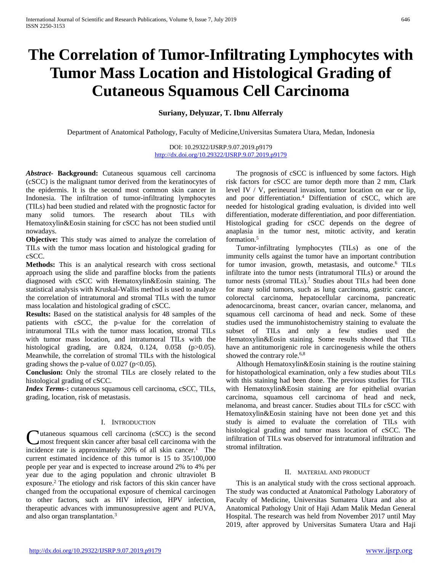# **The Correlation of Tumor-Infiltrating Lymphocytes with Tumor Mass Location and Histological Grading of Cutaneous Squamous Cell Carcinoma**

**Suriany, Delyuzar, T. Ibnu Alferraly**

Department of Anatomical Pathology, Faculty of Medicine,Universitas Sumatera Utara, Medan, Indonesia

DOI: 10.29322/IJSRP.9.07.2019.p9179 <http://dx.doi.org/10.29322/IJSRP.9.07.2019.p9179>

*Abstract***- Background:** Cutaneous squamous cell carcinoma (cSCC) is the malignant tumor derived from the keratinocytes of the epidermis. It is the second most common skin cancer in Indonesia. The infiltration of tumor-infiltrating lymphocytes (TILs) had been studied and related with the prognostic factor for many solid tumors. The research about TILs with Hematoxylin&Eosin staining for cSCC has not been studied until nowadays.

**Objective:** This study was aimed to analyze the correlation of TILs with the tumor mass location and histological grading for cSCC.

**Methods:** This is an analytical research with cross sectional approach using the slide and paraffine blocks from the patients diagnosed with cSCC with Hematoxylin&Eosin staining. The statistical analysis with Kruskal-Wallis method is used to analyze the correlation of intratumoral and stromal TILs with the tumor mass localation and histological grading of cSCC.

**Results:** Based on the statistical analysis for 48 samples of the patients with cSCC, the p-value for the correlation of intratumoral TILs with the tumor mass location, stromal TILs with tumor mass location, and intratumoral TILs with the histological grading, are 0.824, 0.124, 0.058 (p>0.05). Meanwhile, the correlation of stromal TILs with the histological grading shows the p-value of  $0.027$  (p<0.05).

**Conclusion:** Only the stromal TILs are closely related to the histological grading of cSCC.

*Index Terms*-**:** cutaneous squamous cell carcinoma, cSCC, TILs, grading, location, risk of metastasis.

## I. INTRODUCTION

utaneous squamous cell carcinoma (cSCC) is the second most frequent skin cancer after basal cell carcinoma with the **C**utaneous squamous cell carcinoma (cSCC) is the second most frequent skin cancer after basal cell carcinoma with the incidence rate is approximately 20% of all skin cancer.<sup>1</sup> The current estimated incidence of this tumor is 15 to 35/100,000 people per year and is expected to increase around 2% to 4% per year due to the aging population and chronic ultraviolet B exposure.2 The etiology and risk factors of this skin cancer have changed from the occupational exposure of chemical carcinogen to other factors, such as HIV infection, HPV infection, therapeutic advances with immunosupressive agent and PUVA, and also organ transplantation.3

The prognosis of cSCC is influenced by some factors. High risk factors for cSCC are tumor depth more than 2 mm, Clark level IV / V, perineural invasion, tumor location on ear or lip, and poor differentiation.<sup>4</sup> Diffentiation of cSCC, which are needed for histological grading evaluation, is divided into well differentiation, moderate differentiation, and poor differentiation. Histological grading for cSCC depends on the degree of anaplasia in the tumor nest, mitotic activity, and keratin formation.<sup>5</sup>

Tumor-infiltrating lymphocytes (TILs) as one of the immunity cells against the tumor have an important contribution for tumor invasion, growth, metastasis, and outcome.6 TILs infiltrate into the tumor nests (intratumoral TILs) or around the tumor nests (stromal TILs).7 Studies about TILs had been done for many solid tumors, such as lung carcinoma, gastric cancer, colorectal carcinoma, hepatocellular carcinoma, pancreatic adenocarcinoma, breast cancer, ovarian cancer, melanoma, and squamous cell carcinoma of head and neck. Some of these studies used the immunohistochemistry staining to evaluate the subset of TILs and only a few studies used the Hematoxylin&Eosin staining. Some results showed that TILs have an antitumorigenic role in carcinogenesis while the others showed the contrary role.<sup>6,8</sup>

Although Hematoxylin&Eosin staining is the routine staining for histopathological examination, only a few studies about TILs with this staining had been done. The previous studies for TILs with Hematoxylin&Eosin staining are for epithelial ovarian carcinoma, squamous cell carcinoma of head and neck, melanoma, and breast cancer. Studies about TILs for cSCC with Hematoxylin&Eosin staining have not been done yet and this study is aimed to evaluate the correlation of TILs with histological grading and tumor mass location of cSCC. The infiltration of TILs was observed for intratumoral infiltration and stromal infiltration.

#### II. MATERIAL AND PRODUCT

This is an analytical study with the cross sectional approach. The study was conducted at Anatomical Pathology Laboratory of Faculty of Medicine, Universitas Sumatera Utara and also at Anatomical Pathology Unit of Haji Adam Malik Medan General Hospital. The research was held from November 2017 until May 2019, after approved by Universitas Sumatera Utara and Haji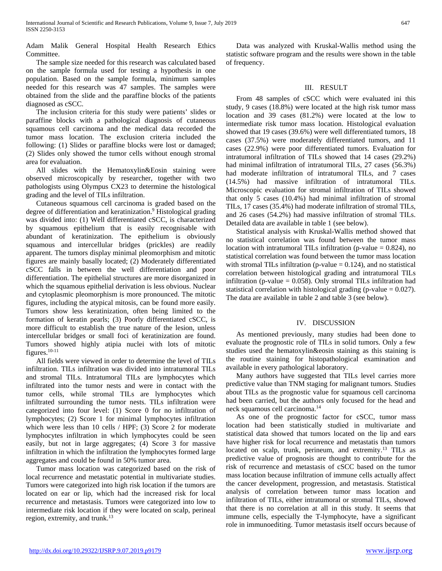Adam Malik General Hospital Health Research Ethics Committee.

The sample size needed for this research was calculated based on the sample formula used for testing a hypothesis in one population. Based on the sample formula, minimum samples needed for this research was 47 samples. The samples were obtained from the slide and the paraffine blocks of the patients diagnosed as cSCC.

The inclusion criteria for this study were patients' slides or paraffine blocks with a pathological diagnosis of cutaneous squamous cell carcinoma and the medical data recorded the tumor mass location. The exclusion criteria included the following: (1) Slides or paraffine blocks were lost or damaged; (2) Slides only showed the tumor cells without enough stromal area for evaluation.

All slides with the Hematoxylin&Eosin staining were observed microscopically by researcher, together with two pathologists using Olympus CX23 to determine the histological grading and the level of TILs infiltration.

Cutaneous squamous cell carcinoma is graded based on the degree of differentiation and keratinization.<sup>9</sup> Histological grading was divided into: (1) Well differentiated cSCC, is characterized by squamous epithelium that is easily recognisable with abundant of keratinization. The epithelium is obviously squamous and intercellular bridges (prickles) are readily apparent. The tumors display minimal pleomorphism and mitotic figures are mainly basally located; (2) Moderately differentiated cSCC falls in between the well differentiation and poor differentiation. The epithelial structures are more disorganized in which the squamous epithelial derivation is less obvious. Nuclear and cytoplasmic pleomorphism is more pronounced. The mitotic figures, including the atypical mitosis, can be found more easily. Tumors show less keratinization, often being limited to the formation of keratin pearls; (3) Poorly differentiated cSCC, is more difficult to establish the true nature of the lesion, unless intercellular bridges or small foci of keratinization are found. Tumors showed highly atipia nuclei with lots of mitotic figures.10-11

All fields were viewed in order to determine the level of TILs infiltration. TILs infiltration was divided into intratumoral TILs and stromal TILs. Intratumoral TILs are lymphocytes which infiltrated into the tumor nests and were in contact with the tumor cells, while stromal TILs are lymphocytes which infiltrated surrounding the tumor nests. TILs infiltration were categorized into four level: (1) Score 0 for no infiltration of lymphocytes; (2) Score 1 for minimal lymphocytes infiltration which were less than 10 cells / HPF; (3) Score 2 for moderate lymphocytes infiltration in which lymphocytes could be seen easily, but not in large aggregates; (4) Score 3 for massive infiltration in which the infiltration the lymphocytes formed large aggregates and could be found in 50% tumor area.

Tumor mass location was categorized based on the risk of local recurrence and metastatic potential in multivariate studies. Tumors were categorized into high risk location if the tumors are located on ear or lip, which had the increased risk for local recurrence and metastasis. Tumors were categorized into low to intermediate risk location if they were located on scalp, perineal region, extremity, and trunk.13

Data was analyzed with Kruskal-Wallis method using the statistic software program and the results were shown in the table of frequency.

# III. RESULT

From 48 samples of cSCC which were evaluated ini this study, 9 cases (18.8%) were located at the high risk tumor mass location and 39 cases (81.2%) were located at the low to intermediate risk tumor mass location. Histological evaluation showed that 19 cases (39.6%) were well differentiated tumors, 18 cases (37.5%) were moderately differentiated tumors, and 11 cases (22.9%) were poor differentiated tumors. Evaluation for intratumoral infiltration of TILs showed that 14 cases (29.2%) had minimal infiltration of intratumoral TILs, 27 cases (56.3%) had moderate infiltration of intratumoral TILs, and 7 cases (14.5%) had massive infiltration of intratumoral TILs. Microscopic evaluation for stromal infiltration of TILs showed that only 5 cases (10.4%) had minimal infiltration of stromal TILs, 17 cases (35.4%) had moderate infiltration of stromal TILs, and 26 cases (54.2%) had massive infiltration of stromal TILs. Detailed data are available in table 1 (see below).

Statistical analysis with Kruskal-Wallis method showed that no statistical correlation was found between the tumor mass location with intratumoral TILs infiltration (p-value  $= 0.824$ ), no statistical correlation was found between the tumor mass location with stromal TILs infiltration (p-value  $= 0.124$ ), and no statistical correlation between histological grading and intratumoral TILs infiltration (p-value  $= 0.058$ ). Only stromal TILs infiltration had statistical correlation with histological grading (p-value  $= 0.027$ ). The data are available in table 2 and table 3 (see below).

# IV. DISCUSSION

As mentioned previously, many studies had been done to evaluate the prognostic role of TILs in solid tumors. Only a few studies used the hematoxylin&eosin staining as this staining is the routine staining for histopathological examination and available in every pathological laboratory.

Many authors have suggested that TILs level carries more predictive value than TNM staging for malignant tumors. Studies about TILs as the prognostic value for squamous cell carcinoma had been carried, but the authors only focused for the head and neck squamous cell carcinoma.14

As one of the prognostic factor for cSCC, tumor mass location had been statistically studied in multivariate and statistical data showed that tumors located on the lip and ears have higher risk for local recurrence and metastatis than tumors located on scalp, trunk, perineum, and extremity.<sup>13</sup> TILs as predictive value of prognosis are thought to contribute for the risk of recurrence and metastasis of cSCC based on the tumor mass location because infiltration of immune cells actually affect the cancer development, progression, and metastasis. Statistical analysis of correlation between tumor mass location and infiltration of TILs, either intratumoral or stromal TILs, showed that there is no correlation at all in this study. It seems that immune cells, especially the T-lymphocyte, have a significant role in immunoediting. Tumor metastasis itself occurs because of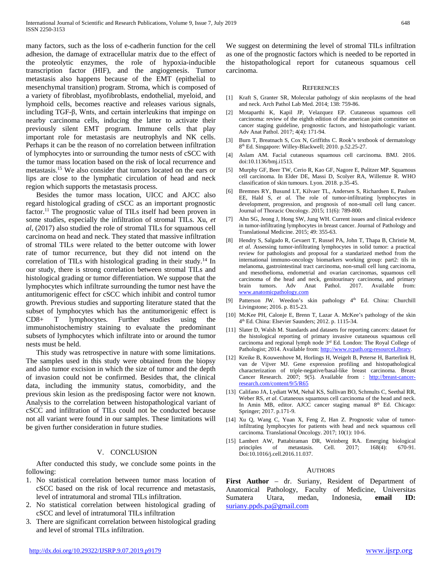many factors, such as the loss of e-cadherin function for the cell adhesion, the damage of extracellular matrix due to the effect of the proteolytic enzymes, the role of hypoxia-inducible transcription factor (HIF), and the angiogenesis. Tumor metastasis also happens because of the EMT (epithelial to mesenchymal transition) program. Stroma, which is composed of a variety of fibroblast, myofibroblasts, endothelial, myeloid, and lymphoid cells, becomes reactive and releases various signals, including TGF-β, Wnts, and certain interleukins that impinge on nearby carcinoma cells, inducing the latter to activate their previously silent EMT program. Immune cells that play important role for metastasis are neutrophyls and NK cells. Perhaps it can be the reason of no correlation between infiltration of lymphocytes into or surrounding the tumor nests of cSCC with the tumor mass location based on the risk of local recurrence and metastasis.15 We also consider that tumors located on the ears or lips are close to the lymphatic circulation of head and neck region which supports the metastasis process.

Besides the tumor mass location, UICC and AJCC also regard histological grading of cSCC as an important prognostic factor.<sup>11</sup> The prognostic value of TILs itself had been proven in some studies, especially the infiltration of stromal TILs. Xu, *et al,* (2017) also studied the role of stromal TILs for squamous cell carcinoma on head and neck. They stated that massive infiltration of stromal TILs were related to the better outcome with lower rate of tumor recurrence, but they did not intend on the correlation of TILs with histological grading in their study.<sup>14</sup> In our study, there is strong correlation between stromal TILs and histological grading or tumor differentiation. We suppose that the lymphocytes which infiltrate surrounding the tumor nest have the antitumorigenic effect for cSCC which inhibit and control tumor growth. Previous studies and supporting literature stated that the subset of lymphocytes which has the antitumorigenic effect is CD8+ T lymphocytes. Further studies using the immunohistochemistry staining to evaluate the predominant subsets of lymphocytes which infiltrate into or around the tumor nests must be held.

This study was retrospective in nature with some limitations. The samples used in this study were obtained from the biopsy and also tumor excision in which the size of tumor and the depth of invasion could not be confirmed. Besides that, the clinical data, including the immunity status, comorbidity, and the previous skin lesion as the predisposing factor were not known. Analysis to the correlation between histopathological variant of cSCC and infiltration of TILs could not be conducted because not all variant were found in our samples. These limitations will be given further consideration in future studies.

## V. CONCLUSION

After conducted this study, we conclude some points in the following:

- 1. No statistical correlation between tumor mass location of cSCC based on the risk of local recurrence and metastasis, level of intratumoral and stromal TILs infiltration.
- 2. No statistical correlation between histological grading of cSCC and level of intratumoral TILs infiltration
- 3. There are significant correlation between histological grading and level of stromal TILs infiltration.

We suggest on determining the level of stromal TILs infiltration as one of the prognostic factors which is needed to be reported in the histopathological report for cutaneous squamous cell carcinoma.

#### **REFERENCES**

- [1] Kraft S, Granter SR, Molecular pathology of skin neoplasms of the head and neck. Arch Pathol Lab Med. 2014; 138: 759-86.
- [2] Motaparthi K, Kapil JP, Velazquez EP. Cutaneous squamous cell carcinoma: review of the eighth edition of the american joint committee on cancer staging guideline, prognostic factors, and histopathologic variant. Adv Anat Pathol. 2017; 4(4): 171-94.
- [3] Burn T, Breatnach S, Cox N, Griffiths C. Rook's textbook of dermatology 8<sup>th</sup> Ed. Singapore: Willey-Blackwell; 2010. p.52.25-27.
- [4] Aslam AM. Facial cutaneous squamous cell carcinoma. BMJ. 2016. doi:10.1136/bmj.i1513.
- [5] Murphy GF, Beer TW, Cerio R, Kao GF, Nagore E, Pulitzer MP. Squamous cell carcinoma. In Elder DE, Massi D, Scolyer RA, Willemze R. WHO classification of skin tumours. Lyon. 2018. p.35-45.
- [6] Bremnes RY, Busund LT, Kilvaer TL, Andersen S, Richardsen E, Paulsen EE, Hald S, *et al*. The role of tumor-infiltrating lymphocytes in development, progression, and prognosis of non-small cell lung cancer. Journal of Thoracic Oncology. 2015; 11(6): 789-800.
- [7] Ahn SG, Jeong J, Hong SW, Jung WH. Current issues and clinical evidence in tumor-infiltrating lymphocytes in breast cancer. Journal of Pathology and Translational Medicine. 2015; 49: 355-63.
- [8] Hendry S, Salgado R, Gevaert T, Russel PA, John T, Thapa B, Christie M, *et al*. Assessing tumor-infiltrating lymphocytes in solid tumor: a practical review for pathologists and proposal for a standarized method from the international immuno-oncology biomarkers working group: part2: tils in melanoma, gastrointestinal tract carcinoma, non-small cell lung carcinoma, and mesothelioma, endometrial and ovarian carcinomas, squamous cell carcinoma of the head and neck, genitourinary carcinoma, and primary brain tumors. Adv Anat Pathol. 2017. Available from: [www.anatomicpathology.com](http://www.anatomicpathology.com/)
- [9] Patterson JW. Weedon's skin pathology 4<sup>th</sup> Ed. China: Churchill Livingstone; 2016. p. 815-23.
- [10] McKee PH, Calonje E, Brenn T, Lazar A. McKee's pathology of the skin 4th Ed. China: Elsevier Saunders; 2012. p. 1115-34.
- [11] Slater D, Walsh M. Standards and datasets for reporting cancers: dataset for the histological reporting of primary invasive cutaneous squamous cell carcinoma and regional lymph node 3rd Ed. London: The Royal College of Pathologist; 2014. Available from: http://www.rcpath.org›resourceLibrary.
- [12] Kreike B, Kouwenhove M, Horlings H, Weigelt B, Peterse H, Barterlink H, van de Vijver MJ. Gene expression profiling and histopathological characterization of triple-negative/basal-like breast carcinoma. Breast Cancer Research. 2007; 9(5). Available from : [http://breast-cancer](http://breast-cancer-research.com/content/9/5/R65)[research.com/content/9/5/R65](http://breast-cancer-research.com/content/9/5/R65)
- [13] Califano JA, Lydiatt WM, Nehal KS, Sullivan BO, Schmults C, Seethal RR, Weber RS, *et al*. Cutaneous squamous cell carcinoma of the head and neck. In Amin MB, editor. AJCC cancer staging manual 8<sup>th</sup> Ed. Chicago: Springer; 2017. p.171-9.
- [14] Xu Q, Wang C, Yuan X, Feng Z, Han Z. Prognostic value of tumorinfiltrating lymphocytes for patients with head and neck squamous cell carcinoma. Translational Oncology. 2017; 10(1): 10-6.
- [15] Lambert AW, Pattabiraman DR, Weinberg RA. Emerging biological principles of metastasis. Cell. 2017; 168(4): 670-91. Doi:10.1016/j.cell.2016.11.037.

#### **AUTHORS**

**First Author** – dr. Suriany, Resident of Department of Anatomical Pathology, Faculty of Medicine, Universitas Sumatera Utara, medan, Indonesia, **email ID:**  [suriany.ppds.pa@gmail.com](mailto:suriany.ppds.pa@gmail.com)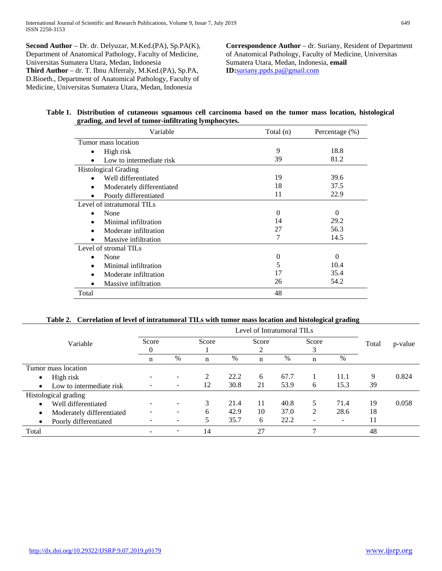**Second Author** – Dr. dr. Delyuzar, M.Ked.(PA), Sp.PA(K), Department of Anatomical Pathology, Faculty of Medicine, Universitas Sumatera Utara, Medan, Indonesia **Third Author** – dr. T. Ibnu Alferraly, M.Ked.(PA), Sp.PA, D.Bioeth., Department of Anatomical Pathology, Faculty of Medicine, Universitas Sumatera Utara, Medan, Indonesia

**Correspondence Author** – dr. Suriany, Resident of Department of Anatomical Pathology, Faculty of Medicine, Universitas Sumatera Utara, Medan, Indonesia, **email ID:**[suriany.ppds.pa@gmail.com](mailto:suriany.ppds.pa@gmail.com)

## **Table 1. Distribution of cutaneous squamous cell carcinoma based on the tumor mass location, histological grading, and level of tumor-infiltrating lymphocytes.**

| Variable                    | Total (n) | Percentage $(\%)$ |
|-----------------------------|-----------|-------------------|
| Tumor mass location         |           |                   |
| High risk<br>٠              | 9         | 18.8              |
| Low to intermediate risk    | 39        | 81.2              |
| <b>Histological Grading</b> |           |                   |
| Well differentiated         | 19        | 39.6              |
| Moderately differentiated   | 18        | 37.5              |
| Poorly differentiated       | 11        | 22.9              |
| Level of intratumoral TILs  |           |                   |
| None                        | $\Omega$  | $\Omega$          |
| Minimal infiltration        | 14        | 29.2              |
| Moderate infiltration       | 27        | 56.3              |
| Massive infiltration        | 7         | 14.5              |
| Level of stromal TILs       |           |                   |
| None                        | $\Omega$  | $\Omega$          |
| Minimal infiltration        | 5         | 10.4              |
| Moderate infiltration       | 17        | 35.4              |
| Massive infiltration        | 26        | 54.2              |
| Total                       | 48        |                   |

# **Table 2. Correlation of level of intratumoral TILs with tumor mass location and histological grading**

|                                        | Level of Intratumoral TILs |                          |                |      |       |      |       |                          |       |         |
|----------------------------------------|----------------------------|--------------------------|----------------|------|-------|------|-------|--------------------------|-------|---------|
| Variable                               | Score                      |                          | Score          |      | Score |      | Score |                          | Total | p-value |
|                                        |                            |                          |                |      |       |      |       |                          |       |         |
|                                        | n                          | $\%$                     | n              | %    | n     | %    | n     | %                        |       |         |
| Tumor mass location                    |                            |                          |                |      |       |      |       |                          |       |         |
| High risk<br>$\bullet$                 |                            |                          | $\mathfrak{D}$ | 22.2 | 6     | 67.7 |       | 11.1                     | 9     | 0.824   |
| Low to intermediate risk<br>$\bullet$  |                            | $\overline{\phantom{a}}$ | 12             | 30.8 | 21    | 53.9 | 6     | 15.3                     | 39    |         |
| Histological grading                   |                            |                          |                |      |       |      |       |                          |       |         |
| Well differentiated<br>$\bullet$       |                            |                          | 3              | 21.4 | 11    | 40.8 | 5.    | 71.4                     | 19    | 0.058   |
| Moderately differentiated<br>$\bullet$ |                            |                          | 6              | 42.9 | 10    | 37.0 | 2     | 28.6                     | 18    |         |
| Poorly differentiated<br>$\bullet$     |                            |                          |                | 35.7 | 6     | 22.2 |       | $\overline{\phantom{a}}$ | 11    |         |
| Total                                  | $\equiv$                   | $\overline{\phantom{a}}$ | 14             |      | 27    |      |       |                          | 48    |         |